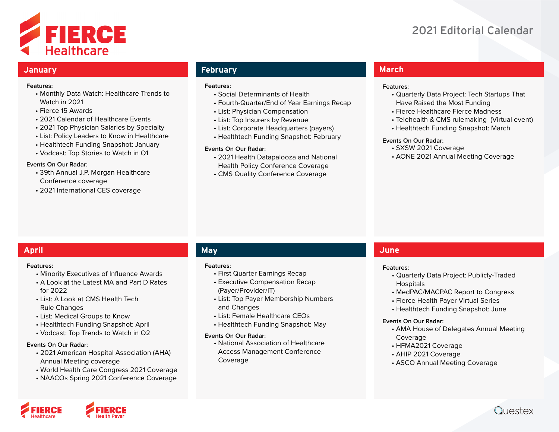

# 2021 Editorial Calendar

#### **January**

#### **Features:**

- Monthly Data Watch: Healthcare Trends to Watch in 2021
- Fierce 15 Awards
- 2021 Calendar of Healthcare Events
- 2021 Top Physician Salaries by Specialty
- List: Policy Leaders to Know in Healthcare
- Healthtech Funding Snapshot: January
- Vodcast: Top Stories to Watch in Q1

#### **Events On Our Radar:**

- 39th Annual J.P. Morgan Healthcare Conference coverage
- 2021 International CES coverage

# **February**

#### **Features:**

- Social Determinants of Health
- Fourth-Quarter/End of Year Earnings Recap
- List: Physician Compensation
- List: Top Insurers by Revenue
- List: Corporate Headquarters (payers)
- Healthtech Funding Snapshot: February

#### **Events On Our Radar:**

- 2021 Health Datapalooza and National Health Policy Conference Coverage
- CMS Quality Conference Coverage

# **March**

#### **Features:**

- Quarterly Data Project: Tech Startups That Have Raised the Most Funding
- Fierce Healthcare Fierce Madness
- Telehealth & CMS rulemaking (Virtual event)
- Healthtech Funding Snapshot: March

#### **Events On Our Radar:**

- SXSW 2021 Coverage
- AONE 2021 Annual Meeting Coverage

# **April May**

#### **Features:**

- Minority Executives of Influence Awards
- A Look at the Latest MA and Part D Rates for 2022
- List: A Look at CMS Health Tech Rule Changes
- List: Medical Groups to Know
- Healthtech Funding Snapshot: April
- Vodcast: Top Trends to Watch in Q2

#### **Events On Our Radar:**

- 2021 American Hospital Association (AHA) Annual Meeting coverage
- World Health Care Congress 2021 Coverage
- NAACOs Spring 2021 Conference Coverage

#### **Features:**

- First Quarter Earnings Recap
- Executive Compensation Recap (Payer/Provider/IT)
- List: Top Payer Membership Numbers and Changes
- List: Female Healthcare CEOs
- Healthtech Funding Snapshot: May

#### **Events On Our Radar:**

• National Association of Healthcare Access Management Conference Coverage

# **June**

#### **Features:**

- Quarterly Data Project: Publicly-Traded Hospitals
- MedPAC/MACPAC Report to Congress
- Fierce Health Payer Virtual Series
- Healthtech Funding Snapshot: June

#### **Events On Our Radar:**

- AMA House of Delegates Annual Meeting Coverage
- HFMA2021 Coverage
- AHIP 2021 Coverage
- ASCO Annual Meeting Coverage



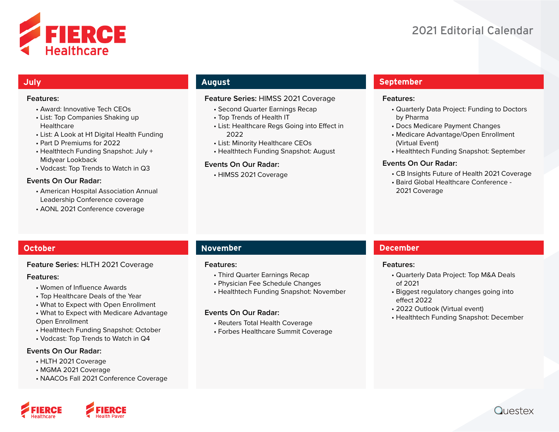



# **July**

#### **Features:**

- Award: Innovative Tech CEOs
- List: Top Companies Shaking up **Healthcare**
- List: A Look at H1 Digital Health Funding
- Part D Premiums for 2022
- Healthtech Funding Snapshot: July + Midyear Lookback
- Vodcast: Top Trends to Watch in Q3

#### **Events On Our Radar:**

- American Hospital Association Annual Leadership Conference coverage
- AONL 2021 Conference coverage

# **August**

#### **Feature Series:** HIMSS 2021 Coverage

- Second Quarter Earnings Recap
- Top Trends of Health IT
- List: Healthcare Regs Going into Effect in 2022
- List: Minority Healthcare CEOs
- Healthtech Funding Snapshot: August

#### **Events On Our Radar:**

• HIMSS 2021 Coverage

# **September**

#### **Features:**

- Quarterly Data Project: Funding to Doctors by Pharma
- Docs Medicare Payment Changes
- Medicare Advantage/Open Enrollment (Virtual Event)
- Healthtech Funding Snapshot: September

#### **Events On Our Radar:**

- CB Insights Future of Health 2021 Coverage
- Baird Global Healthcare Conference 2021 Coverage

### **Feature Series:** HLTH 2021 Coverage

#### **Features:**

- Women of Influence Awards
- Top Healthcare Deals of the Year
- What to Expect with Open Enrollment
- What to Expect with Medicare Advantage Open Enrollment
- Healthtech Funding Snapshot: October
- Vodcast: Top Trends to Watch in Q4

#### **Events On Our Radar:**

- HLTH 2021 Coverage
- MGMA 2021 Coverage
- NAACOs Fall 2021 Conference Coverage

# **October 1986 - Andre Schwarzer and Schwarzer and Schwarzer and November**

#### **Features:**

- Third Quarter Earnings Recap
- Physician Fee Schedule Changes
- Healthtech Funding Snapshot: November

#### **Events On Our Radar:**

- Reuters Total Health Coverage
- Forbes Healthcare Summit Coverage

# **December**

#### **Features:**

- Quarterly Data Project: Top M&A Deals of 2021
- Biggest regulatory changes going into effect 2022
- 2022 Outlook (Virtual event)
- Healthtech Funding Snapshot: December



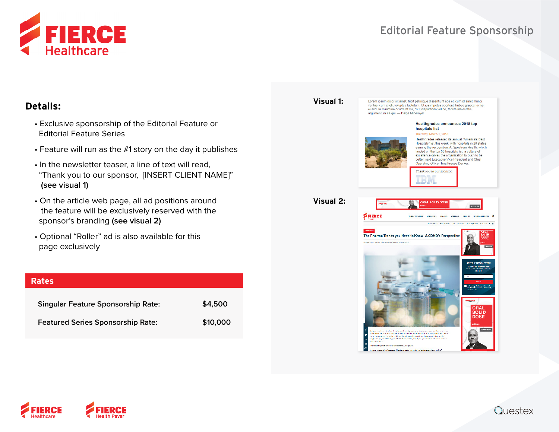

# Editorial Feature Sponsorship

# **Details:**

- Exclusive sponsorship of the Editorial Feature or Editorial Feature Series
- Feature will run as the #1 story on the day it publishes
- In the newsletter teaser, a line of text will read, "Thank you to our sponsor, [INSERT CLIENT NAME]"  **(see visual 1)**
- On the article web page, all ad positions around the feature will be exclusively reserved with the sponsor's branding **(see visual 2)**
- Optional "Roller" ad is also available for this page exclusively

| <b>Rates</b>                              |          |
|-------------------------------------------|----------|
| <b>Singular Feature Sponsorship Rate:</b> | \$4,500  |
| <b>Featured Series Sponsorship Rate:</b>  | \$10,000 |